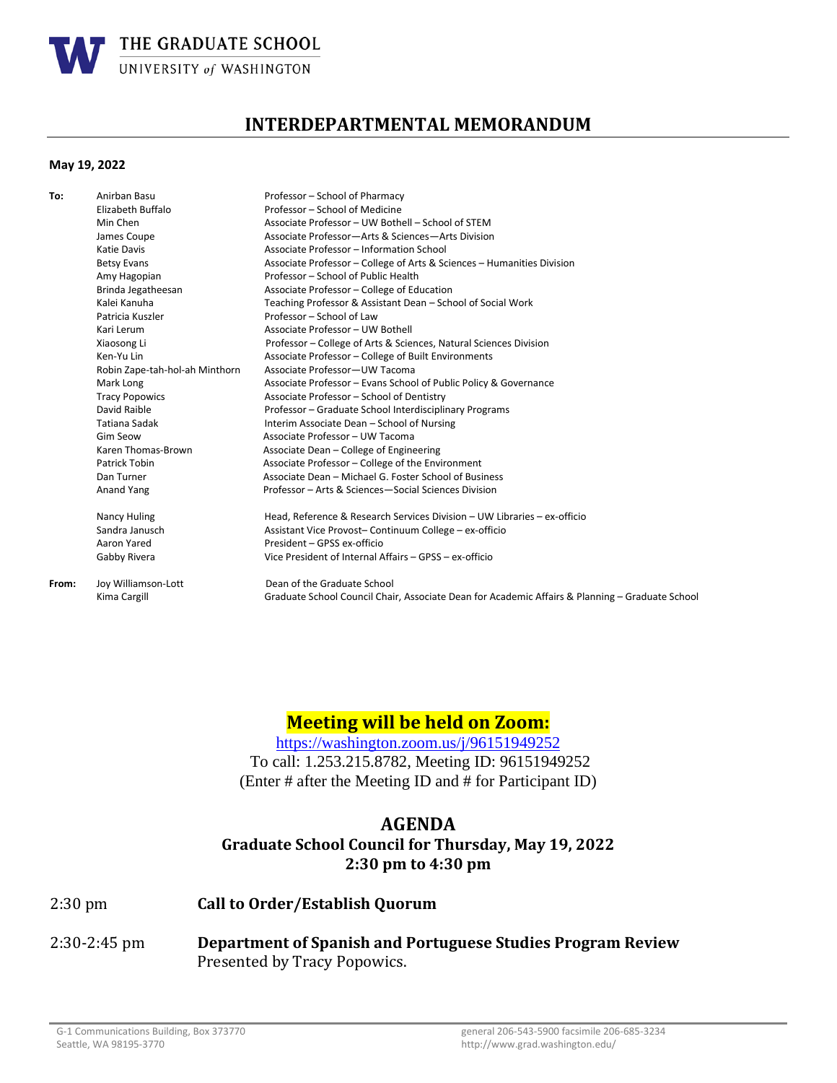

# **INTERDEPARTMENTAL MEMORANDUM**

### **May 19, 2022**

| To:   | Anirban Basu                   | Professor - School of Pharmacy                                                                  |
|-------|--------------------------------|-------------------------------------------------------------------------------------------------|
|       | Elizabeth Buffalo              | Professor - School of Medicine                                                                  |
|       | Min Chen                       | Associate Professor - UW Bothell - School of STEM                                               |
|       | James Coupe                    | Associate Professor-Arts & Sciences-Arts Division                                               |
|       | Katie Davis                    | Associate Professor - Information School                                                        |
|       | <b>Betsy Evans</b>             | Associate Professor - College of Arts & Sciences - Humanities Division                          |
|       | Amy Hagopian                   | Professor - School of Public Health                                                             |
|       | Brinda Jegatheesan             | Associate Professor - College of Education                                                      |
|       | Kalei Kanuha                   | Teaching Professor & Assistant Dean - School of Social Work                                     |
|       | Patricia Kuszler               | Professor - School of Law                                                                       |
|       | Kari Lerum                     | Associate Professor - UW Bothell                                                                |
|       | Xiaosong Li                    | Professor – College of Arts & Sciences, Natural Sciences Division                               |
|       | Ken-Yu Lin                     | Associate Professor - College of Built Environments                                             |
|       | Robin Zape-tah-hol-ah Minthorn | Associate Professor-UW Tacoma                                                                   |
|       | Mark Long                      | Associate Professor - Evans School of Public Policy & Governance                                |
|       | <b>Tracy Popowics</b>          | Associate Professor - School of Dentistry                                                       |
|       | David Raible                   | Professor - Graduate School Interdisciplinary Programs                                          |
|       | Tatiana Sadak                  | Interim Associate Dean - School of Nursing                                                      |
|       | <b>Gim Seow</b>                | Associate Professor - UW Tacoma                                                                 |
|       | Karen Thomas-Brown             | Associate Dean - College of Engineering                                                         |
|       | Patrick Tobin                  | Associate Professor - College of the Environment                                                |
|       | Dan Turner                     | Associate Dean - Michael G. Foster School of Business                                           |
|       | Anand Yang                     | Professor - Arts & Sciences-Social Sciences Division                                            |
|       | Nancy Huling                   | Head, Reference & Research Services Division - UW Libraries - ex-officio                        |
|       | Sandra Janusch                 | Assistant Vice Provost- Continuum College - ex-officio                                          |
|       | Aaron Yared                    | President - GPSS ex-officio                                                                     |
|       | Gabby Rivera                   | Vice President of Internal Affairs - GPSS - ex-officio                                          |
| From: | Joy Williamson-Lott            | Dean of the Graduate School                                                                     |
|       | Kima Cargill                   | Graduate School Council Chair, Associate Dean for Academic Affairs & Planning - Graduate School |
|       |                                |                                                                                                 |

# **Meeting will be held on Zoom:**

<https://washington.zoom.us/j/96151949252> To call: 1.253.215.8782, Meeting ID: 96151949252 (Enter # after the Meeting ID and # for Participant ID)

## **AGENDA**

# **Graduate School Council for Thursday, May 19, 2022 2:30 pm to 4:30 pm**

#### 2:30 pm **Call to Order/Establish Quorum**

2:30-2:45 pm **Department of Spanish and Portuguese Studies Program Review**  Presented by Tracy Popowics.